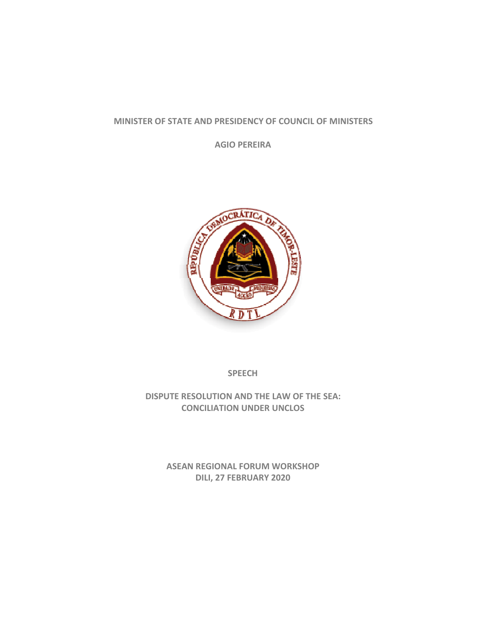## **MINISTER OF STATE AND PRESIDENCY OF COUNCIL OF MINISTERS**

**AGIO PEREIRA**



**SPEECH**

**DISPUTE RESOLUTION AND THE LAW OF THE SEA: CONCILIATION UNDER UNCLOS**

> **ASEAN REGIONAL FORUM WORKSHOP DILI, 27 FEBRUARY 2020**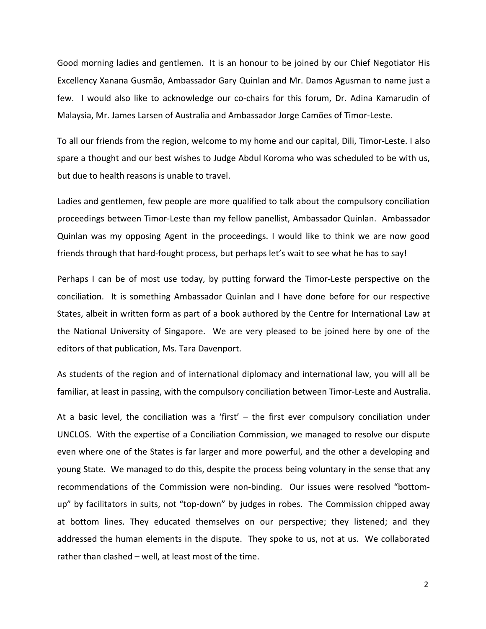Good morning ladies and gentlemen. It is an honour to be joined by our Chief Negotiator His Excellency Xanana Gusmão, Ambassador Gary Quinlan and Mr. Damos Agusman to name just a few. I would also like to acknowledge our co-chairs for this forum, Dr. Adina Kamarudin of Malaysia, Mr. James Larsen of Australia and Ambassador Jorge Camões of Timor‐Leste.

To all our friends from the region, welcome to my home and our capital, Dili, Timor‐Leste. I also spare a thought and our best wishes to Judge Abdul Koroma who was scheduled to be with us, but due to health reasons is unable to travel.

Ladies and gentlemen, few people are more qualified to talk about the compulsory conciliation proceedings between Timor‐Leste than my fellow panellist, Ambassador Quinlan. Ambassador Quinlan was my opposing Agent in the proceedings. I would like to think we are now good friends through that hard-fought process, but perhaps let's wait to see what he has to say!

Perhaps I can be of most use today, by putting forward the Timor-Leste perspective on the conciliation. It is something Ambassador Quinlan and I have done before for our respective States, albeit in written form as part of a book authored by the Centre for International Law at the National University of Singapore. We are very pleased to be joined here by one of the editors of that publication, Ms. Tara Davenport.

As students of the region and of international diplomacy and international law, you will all be familiar, at least in passing, with the compulsory conciliation between Timor‐Leste and Australia.

At a basic level, the conciliation was a 'first'  $-$  the first ever compulsory conciliation under UNCLOS. With the expertise of a Conciliation Commission, we managed to resolve our dispute even where one of the States is far larger and more powerful, and the other a developing and young State. We managed to do this, despite the process being voluntary in the sense that any recommendations of the Commission were non‐binding. Our issues were resolved "bottom‐ up" by facilitators in suits, not "top-down" by judges in robes. The Commission chipped away at bottom lines. They educated themselves on our perspective; they listened; and they addressed the human elements in the dispute. They spoke to us, not at us. We collaborated rather than clashed – well, at least most of the time.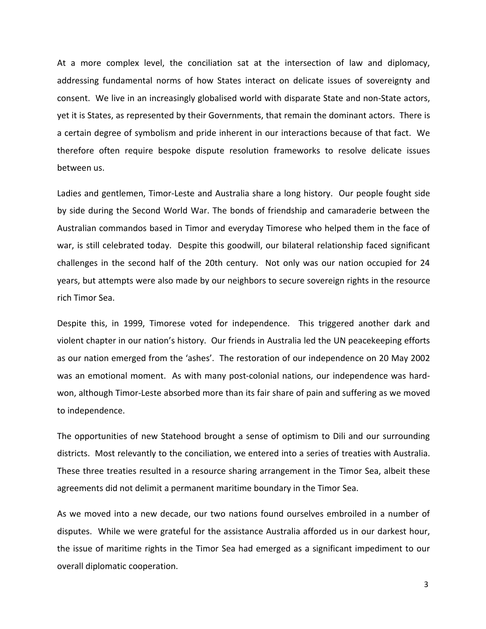At a more complex level, the conciliation sat at the intersection of law and diplomacy, addressing fundamental norms of how States interact on delicate issues of sovereignty and consent. We live in an increasingly globalised world with disparate State and non‐State actors, yet it is States, as represented by their Governments, that remain the dominant actors. There is a certain degree of symbolism and pride inherent in our interactions because of that fact. We therefore often require bespoke dispute resolution frameworks to resolve delicate issues between us.

Ladies and gentlemen, Timor-Leste and Australia share a long history. Our people fought side by side during the Second World War. The bonds of friendship and camaraderie between the Australian commandos based in Timor and everyday Timorese who helped them in the face of war, is still celebrated today. Despite this goodwill, our bilateral relationship faced significant challenges in the second half of the 20th century. Not only was our nation occupied for 24 years, but attempts were also made by our neighbors to secure sovereign rights in the resource rich Timor Sea.

Despite this, in 1999, Timorese voted for independence. This triggered another dark and violent chapter in our nation's history. Our friends in Australia led the UN peacekeeping efforts as our nation emerged from the 'ashes'. The restoration of our independence on 20 May 2002 was an emotional moment. As with many post-colonial nations, our independence was hardwon, although Timor-Leste absorbed more than its fair share of pain and suffering as we moved to independence.

The opportunities of new Statehood brought a sense of optimism to Dili and our surrounding districts. Most relevantly to the conciliation, we entered into a series of treaties with Australia. These three treaties resulted in a resource sharing arrangement in the Timor Sea, albeit these agreements did not delimit a permanent maritime boundary in the Timor Sea.

As we moved into a new decade, our two nations found ourselves embroiled in a number of disputes. While we were grateful for the assistance Australia afforded us in our darkest hour, the issue of maritime rights in the Timor Sea had emerged as a significant impediment to our overall diplomatic cooperation.

3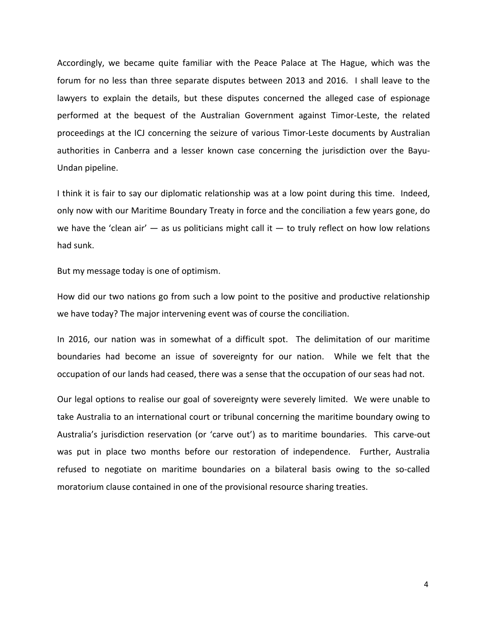Accordingly, we became quite familiar with the Peace Palace at The Hague, which was the forum for no less than three separate disputes between 2013 and 2016. I shall leave to the lawyers to explain the details, but these disputes concerned the alleged case of espionage performed at the bequest of the Australian Government against Timor‐Leste, the related proceedings at the ICJ concerning the seizure of various Timor‐Leste documents by Australian authorities in Canberra and a lesser known case concerning the jurisdiction over the Bayu‐ Undan pipeline.

I think it is fair to say our diplomatic relationship was at a low point during this time. Indeed, only now with our Maritime Boundary Treaty in force and the conciliation a few years gone, do we have the 'clean air'  $-$  as us politicians might call it  $-$  to truly reflect on how low relations had sunk.

But my message today is one of optimism.

How did our two nations go from such a low point to the positive and productive relationship we have today? The major intervening event was of course the conciliation.

In 2016, our nation was in somewhat of a difficult spot. The delimitation of our maritime boundaries had become an issue of sovereignty for our nation. While we felt that the occupation of our lands had ceased, there was a sense that the occupation of our seas had not.

Our legal options to realise our goal of sovereignty were severely limited. We were unable to take Australia to an international court or tribunal concerning the maritime boundary owing to Australia's jurisdiction reservation (or 'carve out') as to maritime boundaries. This carve‐out was put in place two months before our restoration of independence. Further, Australia refused to negotiate on maritime boundaries on a bilateral basis owing to the so‐called moratorium clause contained in one of the provisional resource sharing treaties.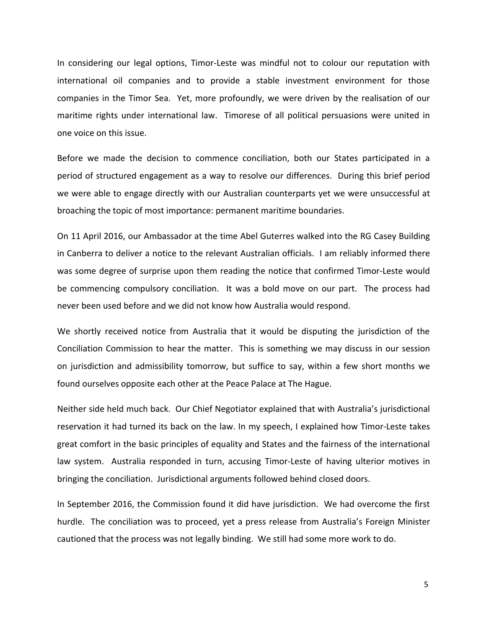In considering our legal options, Timor-Leste was mindful not to colour our reputation with international oil companies and to provide a stable investment environment for those companies in the Timor Sea. Yet, more profoundly, we were driven by the realisation of our maritime rights under international law. Timorese of all political persuasions were united in one voice on this issue.

Before we made the decision to commence conciliation, both our States participated in a period of structured engagement as a way to resolve our differences. During this brief period we were able to engage directly with our Australian counterparts yet we were unsuccessful at broaching the topic of most importance: permanent maritime boundaries.

On 11 April 2016, our Ambassador at the time Abel Guterres walked into the RG Casey Building in Canberra to deliver a notice to the relevant Australian officials. I am reliably informed there was some degree of surprise upon them reading the notice that confirmed Timor-Leste would be commencing compulsory conciliation. It was a bold move on our part. The process had never been used before and we did not know how Australia would respond.

We shortly received notice from Australia that it would be disputing the jurisdiction of the Conciliation Commission to hear the matter. This is something we may discuss in our session on jurisdiction and admissibility tomorrow, but suffice to say, within a few short months we found ourselves opposite each other at the Peace Palace at The Hague.

Neither side held much back. Our Chief Negotiator explained that with Australia's jurisdictional reservation it had turned its back on the law. In my speech, I explained how Timor‐Leste takes great comfort in the basic principles of equality and States and the fairness of the international law system. Australia responded in turn, accusing Timor‐Leste of having ulterior motives in bringing the conciliation. Jurisdictional arguments followed behind closed doors.

In September 2016, the Commission found it did have jurisdiction. We had overcome the first hurdle. The conciliation was to proceed, yet a press release from Australia's Foreign Minister cautioned that the process was not legally binding. We still had some more work to do.

5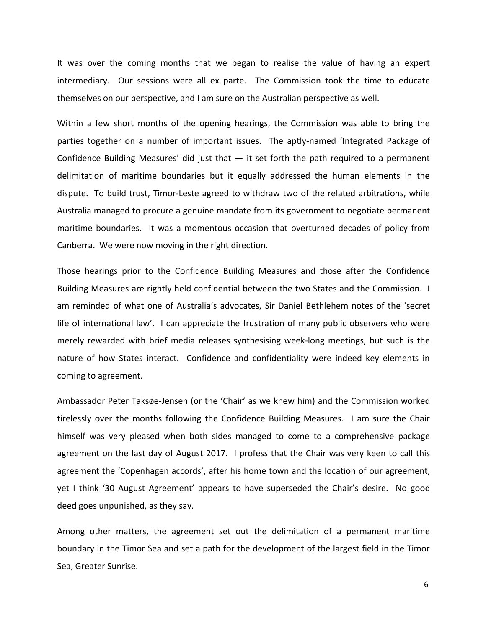It was over the coming months that we began to realise the value of having an expert intermediary. Our sessions were all ex parte. The Commission took the time to educate themselves on our perspective, and I am sure on the Australian perspective as well.

Within a few short months of the opening hearings, the Commission was able to bring the parties together on a number of important issues. The aptly‐named 'Integrated Package of Confidence Building Measures' did just that  $-$  it set forth the path required to a permanent delimitation of maritime boundaries but it equally addressed the human elements in the dispute. To build trust, Timor‐Leste agreed to withdraw two of the related arbitrations, while Australia managed to procure a genuine mandate from its government to negotiate permanent maritime boundaries. It was a momentous occasion that overturned decades of policy from Canberra. We were now moving in the right direction.

Those hearings prior to the Confidence Building Measures and those after the Confidence Building Measures are rightly held confidential between the two States and the Commission. I am reminded of what one of Australia's advocates, Sir Daniel Bethlehem notes of the 'secret life of international law'. I can appreciate the frustration of many public observers who were merely rewarded with brief media releases synthesising week‐long meetings, but such is the nature of how States interact. Confidence and confidentiality were indeed key elements in coming to agreement.

Ambassador Peter Taksøe‐Jensen (or the 'Chair' as we knew him) and the Commission worked tirelessly over the months following the Confidence Building Measures. I am sure the Chair himself was very pleased when both sides managed to come to a comprehensive package agreement on the last day of August 2017. I profess that the Chair was very keen to call this agreement the 'Copenhagen accords', after his home town and the location of our agreement, yet I think '30 August Agreement' appears to have superseded the Chair's desire. No good deed goes unpunished, as they say.

Among other matters, the agreement set out the delimitation of a permanent maritime boundary in the Timor Sea and set a path for the development of the largest field in the Timor Sea, Greater Sunrise.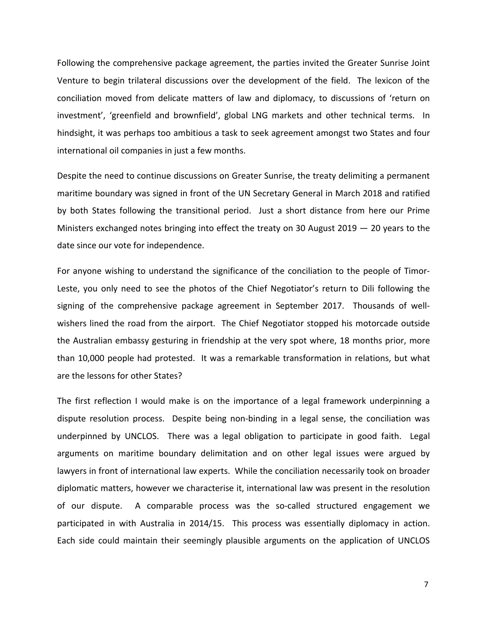Following the comprehensive package agreement, the parties invited the Greater Sunrise Joint Venture to begin trilateral discussions over the development of the field. The lexicon of the conciliation moved from delicate matters of law and diplomacy, to discussions of 'return on investment', 'greenfield and brownfield', global LNG markets and other technical terms. In hindsight, it was perhaps too ambitious a task to seek agreement amongst two States and four international oil companies in just a few months.

Despite the need to continue discussions on Greater Sunrise, the treaty delimiting a permanent maritime boundary was signed in front of the UN Secretary General in March 2018 and ratified by both States following the transitional period. Just a short distance from here our Prime Ministers exchanged notes bringing into effect the treaty on 30 August 2019  $-$  20 years to the date since our vote for independence.

For anyone wishing to understand the significance of the conciliation to the people of Timor‐ Leste, you only need to see the photos of the Chief Negotiator's return to Dili following the signing of the comprehensive package agreement in September 2017. Thousands of wellwishers lined the road from the airport. The Chief Negotiator stopped his motorcade outside the Australian embassy gesturing in friendship at the very spot where, 18 months prior, more than 10,000 people had protested. It was a remarkable transformation in relations, but what are the lessons for other States?

The first reflection I would make is on the importance of a legal framework underpinning a dispute resolution process. Despite being non‐binding in a legal sense, the conciliation was underpinned by UNCLOS. There was a legal obligation to participate in good faith. Legal arguments on maritime boundary delimitation and on other legal issues were argued by lawyers in front of international law experts. While the conciliation necessarily took on broader diplomatic matters, however we characterise it, international law was present in the resolution of our dispute. A comparable process was the so-called structured engagement we participated in with Australia in 2014/15. This process was essentially diplomacy in action. Each side could maintain their seemingly plausible arguments on the application of UNCLOS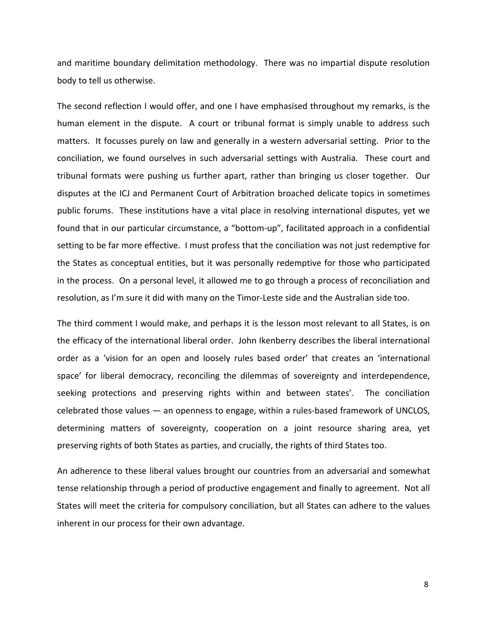and maritime boundary delimitation methodology. There was no impartial dispute resolution body to tell us otherwise.

The second reflection I would offer, and one I have emphasised throughout my remarks, is the human element in the dispute. A court or tribunal format is simply unable to address such matters. It focusses purely on law and generally in a western adversarial setting. Prior to the conciliation, we found ourselves in such adversarial settings with Australia. These court and tribunal formats were pushing us further apart, rather than bringing us closer together. Our disputes at the ICJ and Permanent Court of Arbitration broached delicate topics in sometimes public forums. These institutions have a vital place in resolving international disputes, yet we found that in our particular circumstance, a "bottom‐up", facilitated approach in a confidential setting to be far more effective. I must profess that the conciliation was not just redemptive for the States as conceptual entities, but it was personally redemptive for those who participated in the process. On a personal level, it allowed me to go through a process of reconciliation and resolution, as I'm sure it did with many on the Timor‐Leste side and the Australian side too.

The third comment I would make, and perhaps it is the lesson most relevant to all States, is on the efficacy of the international liberal order. John Ikenberry describes the liberal international order as a 'vision for an open and loosely rules based order' that creates an 'international space' for liberal democracy, reconciling the dilemmas of sovereignty and interdependence, seeking protections and preserving rights within and between states'. The conciliation celebrated those values — an openness to engage, within a rules‐based framework of UNCLOS, determining matters of sovereignty, cooperation on a joint resource sharing area, yet preserving rights of both States as parties, and crucially, the rights of third States too.

An adherence to these liberal values brought our countries from an adversarial and somewhat tense relationship through a period of productive engagement and finally to agreement. Not all States will meet the criteria for compulsory conciliation, but all States can adhere to the values inherent in our process for their own advantage.

8